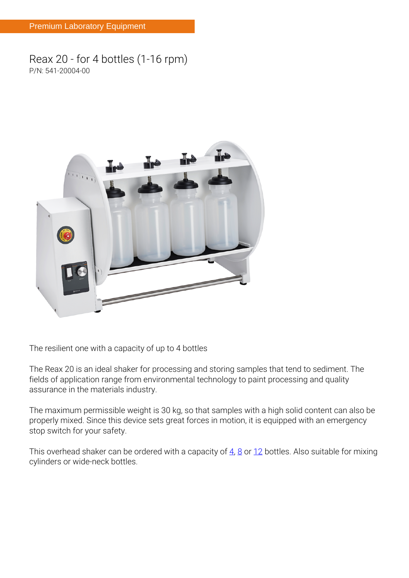## **Reax 20 - for 4 bottles (1-16 rpm) P/N: 541-20004-00**



**The resilient one with a capacity of up to 4 bottles**

The Reax 20 is an ideal shaker for processing and storing samples that tend to sediment. The fields of application range from environmental technology to paint processing and quality assurance in the materials industry.

The maximum permissible weight is 30 kg, so that samples with a high solid content can also be properly mixed. Since this device sets great forces in motion, it is equipped with an emergency stop switch for your safety.

This overhead shaker can be ordered with a capacity of  $\frac{4}{10}$ ,  $\frac{8}{10}$  or  $\frac{12}{10}$  bottles. Also suitable for mixing cylinders or wide-neck bottles.